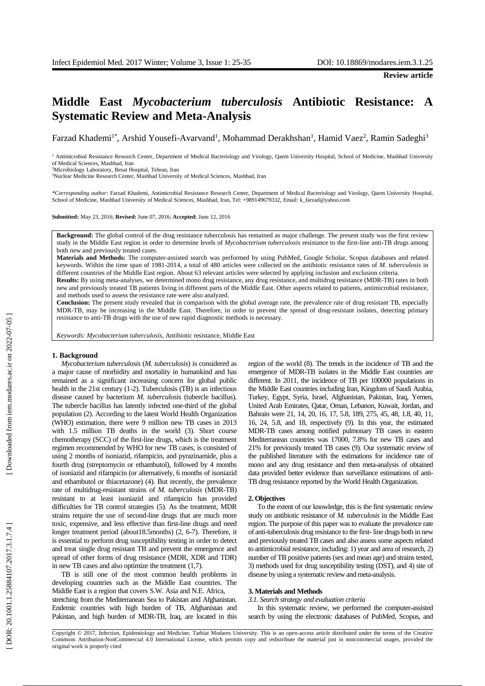# **Middle East** *Mycobacterium tuberculosis* **Antibiotic Resistance: A Systematic Review and Meta - Analysis**

Farzad Khademi<sup>1\*</sup>, Arshid Yousefi-Avarvand<sup>1</sup>, Mohammad Derakhshan<sup>1</sup>, Hamid Vaez<sup>2</sup>, Ramin Sadeghi<sup>3</sup>

<sup>1</sup> Antimicrobial Resistance Research Center, Department of Medical Bacteriology and Virology, Qaem University Hospital, School of Medicine, Mashhad University of Medical Sciences, Mashhad, Iran

<sup>2</sup>Microbiology Laboratory, Besat Hospital, Tehran, Iran

<sup>3</sup>Nuclear Medicine Research Center, Mashhad University of Medical Sciences, Mashhad, Iran

*\*Corresponding author:* Farzad Khademi, Antimicrobial Resistance Research Center, Department of Medical Bacteriology and Virology, Qaem University Hospital, School of Medicine, Mashhad University of Medical Sciences, Mashhad, Iran, Tel: +989149679332, Email: k\_farzad@yahoo.com

**Submitted:** May 23, 2016; **Revised:** June 07, 2016; **Accepted:** June 12, 2016

**Background:** The global control of the drug resistance tuberculosis has remained as major challenge . The present study was the first review study in the Middle East region in order to determine levels of *Mycobacterium tuberculosis* resistance to the first-line anti-TB drugs among both new and previously treated cases.

**Material s and Methods :** The computer -assisted search was performed by using PubMed, Google Scholar , Scopus databases and related keywords . Within the time span of 198 1 -2014, a total of 480 articles were collected on the antibiotic resistance rates of *M. tuberculosis* in different countries of the Middle East region. About 63 relevant articles were selected by applying inclusion and exclusion criteria.

**Results:** By using meta -analyses, we determined mono drug resistance, any drug resistance , and multidrug resistance (MDR -TB) rates in both new and previously treated TB patients living in different parts of the Middle East. Other aspects related to patients , antimicrobial resistance , and methods used to assess the resistance rate were also analyzed .

**Conclusion:** The present study revealed that in comparison with the global average rate, the prevalence rate of drug resistant TB, especially MDR -TB, may be increasing in the Middle East . Therefore , in order to prevent the spread of drug -resistant isolates, detecting primary resistance to anti -TB drugs with the use of new rapid diagnostic methods is necessary .

*Keywords: Mycobacterium tuberculosis*, Antibiotic resistance, Middle East

#### **1. Background**

*Mycobacterium tuberculosis* (*M. tuberculosis*) is considered as a major cause of morbidity and mortality in humankind and has remained as a significant increasing concern for global public health in the 21st century (1-2). Tuberculosis (TB) is an infectious disease caused by bacterium *M. tuberculosis* (tubercle bacillus). The tubercle bacillus has latently infected one -third of the global population ( 2 ) . According to the latest World Health Organization (WHO) estimation , there were 9 million new TB cases in 201 3 with 1.5 million TB deaths in the world (3). Short course chemotherapy (SCC) of the first -line drugs , which is the treatment regimen recommended by WHO for new TB cases, is consisted of using 2 months of isoniazid, rifampicin , and pyrazinamide, plus a fourth drug (streptomycin or ethambutol), followed by 4 months of isoniazid and rifampicin (or alternatively, 6 months of isoniazid and ethambutol or thiacetazone) ( 4 ) . But recently , the prevalence rate of multidrug-resistant strains of *M. tuberculosis* (MDR-TB) resistant to at least isoniazid and rifampicin has provided difficulties for TB control strategies (5). As the treatment, MDR strains require the use of second -line drugs that are much more toxic , expensive , and less effective than first -line drugs and need longer treatment period (about18.5months) (2, 6-7). Therefore, it is essential to perform drug susceptibility testing in order to detect and treat single drug resistant TB and prevent the emergence and spread of other forms of drug resistance (MDR, XDR and TDR) in new TB cases and also optimize the treatment (1,7).

TB is still one of the most common health problems in developing countries such as the Middle East countries. The Middle East is a region that covers S.W. Asia and N.E. Africa, stretching from the Mediterranean Sea to Pakistan and Afghanistan . Endemic countries with high burden of TB, Afghanistan and Pakistan, and high burden of MDR-TB, Iraq, are located in this

region of the world ( 8 ) . The trends in the incidence of TB and the emergence of MDR -TB isolates in the Middle East countries are different . In 201 1, the incidence of TB per 100000 populations in the Middle East countries including Iran, Kingdom of Saudi Arabia , Turkey, Egypt, Syria, Israel, Afghanistan, Pakistan, Iraq, Yemen, United Arab Emirates, Qatar, Oman, Lebanon, Kuwait, Jordan, and Bahrain were 21, 14, 20, 16, 17, 5.8, 189, 275, 45, 48, 1.8, 40, 11, 16, 24, 5.8 , and 18, respectively ( 9 ) . In this year , the estimated MDR -TB cases among notified pulmonary TB cases in eastern Mediterranean countries was 17000, 7.8% for new TB cases and 21 % for previously treated TB cases ( 9 ) . Our systematic review of the published literature with the estimations for incidence rate of mono and any drug resistance and then meta-analysis of obtained data provided better evidence than surveillance estimations of anti-TB drug resistance reported by the World Health Organization .

#### **2. Objectives**

To the extent of our knowledge, this is the first systematic review study on antibiotic resistance of *M. tuberculosis* in the Middle East region. The purpose of this paper was to evaluate the prevalence rate of anti -tuberculosis drug resistance to the first - line drugs both in new and previously treated TB cases and also assess some aspects related to antimicrobial resistance, including: 1) year and area of research, 2) number of TB positive patients (sex and mean age) and strains tested, 3) methods used for drug susceptibility testing (DST), and 4) site of disease by using a systematic review and meta -analysis .

#### **3. Material s and Methods**

*3.1. Search strategy and evaluation criteria* 

In this systematic review , we performed the computer -assisted search by using the electronic databases of PubMed, Scopus , and

Copyright © 2017, Infection, Epidemiology and Medicine; Tarbiat Modares University. This is an open -access article distributed under the terms of the Creative Commons Attribution -NonCommercial 4.0 International License, which permits copy and redistribute the material just in noncommercial usages, provided the original work is properly cited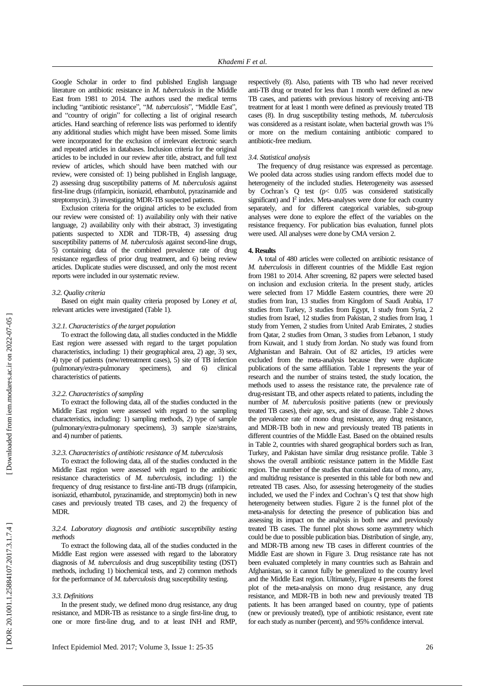Google Scholar in order to find published English language literature on antibiotic resistance in *M. tuberculosis* in the Middle East from 1981 to 201 4 . The author s used the medical terms including "antibiotic resistance", "M. tuberculosis", "Middle East", and "country of origin " for collecting a list of original research articles . Hand searching of reference lists was performed to identify any additional studies which might have been missed . Some limits were incorporated for the exclusion of irrelevant electronic search and repeated articles in databases. Inclusion criteria for the original articles to be included in our review after title, abstract , and full text review of articles, which should have been matched with our review, were consisted of: 1) being published in English language , 2 ) assessing drug susceptibility patterns of *M. tuberculosis* against first-line drugs (rifampicin, isoniazid, ethambutol, pyrazinamide and streptomycin), 3 ) investigating MDR -TB suspected patients.

Exclusion criteria for the original articles to be excluded from our review were consisted of: 1) availability only with their native language, 2) availability only with their abstract, 3) investigating patients suspected to XDR and TDR -TB, 4) assessing drug susceptibility patterns of *M. tuberculosis* against second-line drugs, 5) containing data of the combined prevalence rate of drug resistance regardless of prior drug treatment , and 6 ) being review articles . Duplicate studies were discussed , and only the most recent reports were included in our systematic review.

#### *3.2. Quality criteria*

Based on eight main quality criteria proposed by Loney *et al*, relevant articles were investigated (Table 1) .

#### *3.2.1. Characteristics of the target population*

To extract the following data, all studies conducted in the Middle East region were assessed with regard to the target population characteristics , including : 1) their geographical area , 2) age , 3) sex, 4) type of patient s (new/retreatment cases ) , 5) site of TB infection (pulmonary/extra-pulmonary specimens) , and 6) clinical characteristics of patients.

#### *3.2.2. Characteristics of sampling*

To extract the following data, all of the studies conducted in the Middle East region were assessed with regard to the sampling characteristics , including : 1) sampling methods, 2) type of sample (pulmonary/extra-pulmonary specimens) , 3) sample size/strains, and 4) number of patients .

## *3.2.3. Characteristics of antibiotic resistance of M. tuberculosis*

To extract the following data, all of the studies conducted in the Middle East region were assessed with regard to the antibiotic resistance characteristics of *M. tuberculosis*, including : 1) the frequency of drug resistance to first-line anti-TB drugs (rifampicin, isoniazid, ethambutol, pyrazinamide , and streptomycin ) both in new cases and previously treated TB cases, and 2 ) the frequency of MDR .

## *3.2.4. Laboratory diagnosis and antibiotic susceptibility testing methods*

To extract the following data, all of the studies conducted in the Middle East region were assessed with regard to the laboratory diagnosis of *M. tuberculosis* and drug susceptibility testing (DST) methods, including 1) biochemical tests, and 2) common methods for the performance of *M. tuberculosis* drug susceptibility testing .

#### *3.3. Definitions*

In the present study, we defined mono drug resistance, any drug resistance , and MDR -TB as resistance to a single first -line drug, to one or more first -line drug , and to at least INH and RMP,

was considered as a resistant isolate, when bacterial growth was 1% or more on the medium containing antibiotic compare d to antibiotic -free medium . *3.4. Statistical analysis* The frequency of drug resistance was expressed as percentage. We pooled data across studies using random effects model due to

heterogeneity of the included studies. Heterogeneity was assessed by Cochran's Q test (p< 0.05 was considered statistically significant) and  $I^2$  index. Meta-analyses were done for each country separately, and for different categorical variables, sub-group analyses were done to explore the effect of the variables on the resistance frequency. For publication bias evaluation, funnel plots were used. All analyses were done by CMA version 2.

respectively ( 8 ) . Also, patients with TB who had never received anti -TB drug or treated for less than 1 month were defined as new TB cases, and patients with previous history of receiving anti -TB treatment for at least 1 month were defined as previously treated TB cases ( 8 ) . In drug susceptibility testing method s, *M. tuberculosis*

#### **4. Results**

A total of 480 articles were collected on antibiotic resistance of *M. tuberculosis* in different countries of the Middle East region from 1981 to 2014. After screening, 82 papers were selected based on inclusion and exclusion criteria. In the present study, articles were selected from 17 Middle Eastern countries, there were 20 studies from Iran, 13 studies from Kingdom of Saudi Arabia, 1 7 studies from Turkey, 3 studies from Egypt, 1 study from Syria, 2 studies from Israel, 12 studies from Pakistan, 2 studies from Iraq, 1 study from Yemen, 2 studies from United Arab Emirates, 2 studies from Qatar, 2 studies from Oman, 3 studies from Lebanon, 1 study from Kuwait, and 1 study from Jordan . No study was found from Afghanistan and Bahrain. Out of 82 articles, 1 9 articles were excluded from the meta-analysis because they were duplicate publications of the same affiliation. Table 1 represent s the year of research and the number of strains tested, the study location, the methods used to assess the resistance rate, the prevalence rate of drug -resistant TB, and other aspects related to patients , including the number of *M. tuberculosis* positive patients (new or previously treated TB cases) , their age, sex, and site of disease . Table 2 shows the prevalence rate of mono drug resistance, any drug resistance , and MDR -TB both in new and previously treated TB patients in different countries of the Middle East. Based on the obtained results in Table 2, countries with share d geographical borders such as Iran, Turkey , and Pakistan have similar drug resistance profile . Table 3 shows the overall antibiotic resistance pattern in the Middle East region. The number of the studies that contained data of mono, any , and multidrug resistance is presented in this table for both new and retreated TB cases. Also, for assessing heterogeneity of the studies included, we used the  $I^2$  index and Cochran's Q test that show high heterogeneity between studies. Figure 2 is the funnel plot of the meta-analysis for detecting the presence of publication bias and assessing its impact on the analysis in both new and previously treated TB cases . The funnel plot shows some asymmetry which could be due to possible publication bias. Distribution of single, any , and MDR -TB among new TB cases in different countries of the Middle East are shown in Figure 3 . Drug resistance rate has not been evaluated completely in many countries such as Bahrain and Afghanistan, so it cannot fully be generalized to the country level and the Middle East region. Ultimately, Figure 4 presents the forest plot of the meta -analysis on mono drug resistance, any drug resistance , and MDR -TB in both new and previously treated TB patients. It has been arranged based on country, type of patients (new or previously treated), type of antibiotic resistance, event rate for each study as number (percent) , and 95% confidence interval.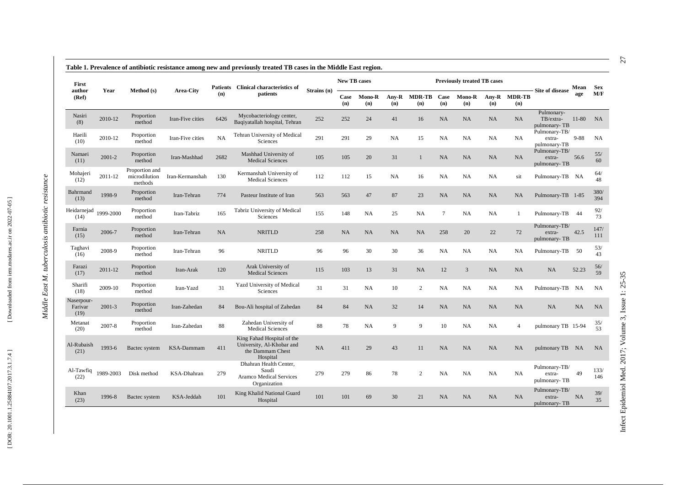| First                         |            |                                            |                  |      | Patients Clinical characteristics of                                                    |             | <b>New TB cases</b> |                      |              |                      |                 | <b>Previously treated TB cases</b> |           |                     | Site of disease                         | Mean      | <b>Sex</b>  |
|-------------------------------|------------|--------------------------------------------|------------------|------|-----------------------------------------------------------------------------------------|-------------|---------------------|----------------------|--------------|----------------------|-----------------|------------------------------------|-----------|---------------------|-----------------------------------------|-----------|-------------|
| author<br>(Ref)               | Year       | Method (s)                                 | <b>Area-City</b> | (n)  | patients                                                                                | Strains (n) | Case<br>(n)         | <b>Mono-R</b><br>(n) | Any-R<br>(n) | <b>MDR-TB</b><br>(n) | Case<br>(n)     | <b>Mono-R</b><br>(n)               | (n)       | Any-R MDR-TB<br>(n) |                                         | age       | M/F         |
| Nasiri<br>(8)                 | 2010-12    | Proportion<br>method                       | Iran-Five cities | 6426 | Mycobacteriology center,<br>Baqiyatallah hospital, Tehran                               | 252         | 252                 | 24                   | 41           | 16                   | NA              | NA                                 | <b>NA</b> | <b>NA</b>           | Pulmonary-<br>TB/extra-<br>pulmonary-TB | $11 - 80$ | <b>NA</b>   |
| Haeili<br>(10)                | 2010-12    | Proportion<br>method                       | Iran-Five cities | NA   | Tehran University of Medical<br>Sciences                                                | 291         | 291                 | 29                   | <b>NA</b>    | 15                   | NA              | <b>NA</b>                          | <b>NA</b> | <b>NA</b>           | Pulmonary-TB/<br>extra-<br>pulmonary-TB | $9 - 88$  | <b>NA</b>   |
| Namaei<br>(11)                | $2001 - 2$ | Proportion<br>method                       | Iran-Mashhad     | 2682 | Mashhad University of<br><b>Medical Sciences</b>                                        | 105         | 105                 | 20                   | 31           | $\mathbf{1}$         | NA              | NA                                 | <b>NA</b> | <b>NA</b>           | Pulmonary-TB/<br>extra-<br>pulmonary-TB | 56.6      | 55/<br>60   |
| Mohajeri<br>(12)              | 2011-12    | Proportion and<br>microdilution<br>methods | Iran-Kermanshah  | 130  | Kermanshah University of<br><b>Medical Sciences</b>                                     | 112         | 112                 | 15                   | <b>NA</b>    | 16                   | NA              | <b>NA</b>                          | <b>NA</b> | sit                 | Pulmonary-TB NA                         |           | 64/<br>48   |
| Bahrmand<br>(13)              | 1998-9     | Proportion<br>method                       | Iran-Tehran      | 774  | Pasteur Institute of Iran                                                               | 563         | 563                 | 47                   | 87           | 23                   | NA              | <b>NA</b>                          | <b>NA</b> | <b>NA</b>           | Pulmonary-TB 1-85                       |           | 380/<br>394 |
| Heidarnejad<br>(14)           | 1999-2000  | Proportion<br>method                       | Iran-Tabriz      | 165  | Tabriz University of Medical<br>Sciences                                                | 155         | 148                 | <b>NA</b>            | 25           | <b>NA</b>            | $7\phantom{.0}$ | <b>NA</b>                          | <b>NA</b> | 1                   | Pulmonary-TB 44                         |           | 92/<br>73   |
| Farnia<br>(15)                | 2006-7     | Proportion<br>method                       | Iran-Tehran      | NA   | <b>NRITLD</b>                                                                           | 258         | NA                  | <b>NA</b>            | NA           | <b>NA</b>            | 258             | 20                                 | $22\,$    | 72                  | Pulmonary-TB/<br>extra-<br>pulmonary-TB | 42.5      | 147/<br>111 |
| Taghavi<br>(16)               | 2008-9     | Proportion<br>method                       | Iran-Tehran      | 96   | <b>NRITLD</b>                                                                           | 96          | 96                  | 30                   | 30           | 36                   | NA              | <b>NA</b>                          | <b>NA</b> | <b>NA</b>           | Pulmonary-TB                            | 50        | 53/<br>43   |
| Farazi<br>(17)                | 2011-12    | Proportion<br>method                       | Iran-Arak        | 120  | Arak University of<br><b>Medical Sciences</b>                                           | 115         | 103                 | 13                   | 31           | <b>NA</b>            | 12              | 3                                  | <b>NA</b> | NA                  | NA                                      | 52.23     | 56/<br>59   |
| Sharifi<br>(18)               | 2009-10    | Proportion<br>method                       | Iran-Yazd        | 31   | Yazd University of Medical<br>Sciences                                                  | 31          | 31                  | NA                   | 10           | $\overline{2}$       | NA              | NA                                 | NA        | <b>NA</b>           | Pulmonary-TB                            | NA        | <b>NA</b>   |
| Naserpour-<br>Farivar<br>(19) | $2001 - 3$ | Proportion<br>method                       | Iran-Zahedan     | 84   | Bou-Ali hospital of Zahedan                                                             | 84          | 84                  | <b>NA</b>            | 32           | 14                   | NA              | NA                                 | NA        | NA                  | NA                                      | NA        | NA          |
| Metanat<br>(20)               | 2007-8     | Proportion<br>method                       | Iran-Zahedan     | 88   | Zahedan University of<br><b>Medical Sciences</b>                                        | 88          | 78                  | <b>NA</b>            | 9            | 9                    | 10              | NA                                 | NA        | $\overline{4}$      | pulmonary TB 15-94                      |           | 35/<br>53   |
| Al-Rubaish<br>(21)            | 1993-6     | Bactec system                              | KSA-Dammam       | 411  | King Fahad Hospital of the<br>University, Al-Khobar and<br>the Dammam Chest<br>Hospital | NA          | 411                 | 29                   | 43           | 11                   | NA              | NA                                 | <b>NA</b> | <b>NA</b>           | pulmonary TB NA                         |           | <b>NA</b>   |
| Al-Tawfiq<br>(22)             | 1989-2003  | Disk method                                | KSA-Dhahran      | 279  | Dhahran Health Center,<br>Saudi<br><b>Aramco Medical Services</b><br>Organization       | 279         | 279                 | 86                   | 78           | $\overline{2}$       | <b>NA</b>       | <b>NA</b>                          | NA        | NA                  | Pulmonary-TB/<br>extra-<br>pulmonary-TB | 49        | 133/<br>146 |
| Khan<br>(23)                  | 1996-8     | Bactec system                              | KSA-Jeddah       | 101  | King Khalid National Guard<br>Hospital                                                  | 101         | 101                 | 69                   | 30           | 21                   | NA              | NA                                 | NA        | <b>NA</b>           | Pulmonary-TB/<br>extra-<br>pulmonary-TB | NA        | 39/<br>35   |

[Downloaded from iem.modares.ac.ir on 2022-07-05]

Infect Epidemiol Med. 2017; Volume 3, Issue 1: 25-35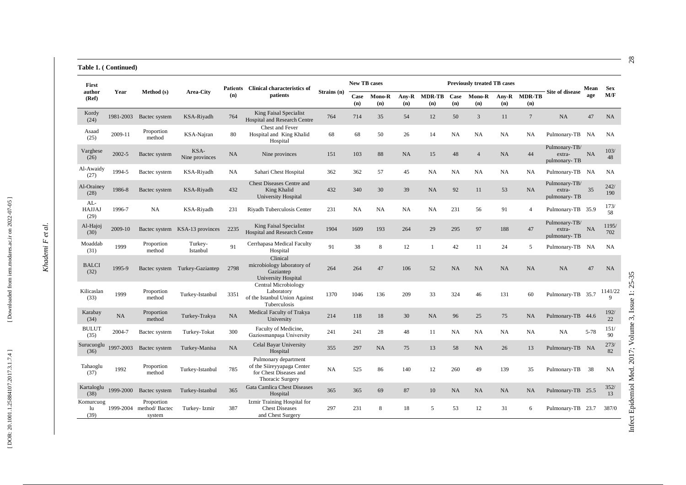#### **Table 1. ( Continued)**

| First                          | author<br>Year |                                       |                                | <b>Patients</b> | <b>Clinical characteristics of</b>                                                               |             | <b>New TB cases</b> |               |              |                      |             | <b>Previously treated TB cases</b> |              |                      | <b>Site of disease</b>                  | Mean | <b>Sex</b>   |
|--------------------------------|----------------|---------------------------------------|--------------------------------|-----------------|--------------------------------------------------------------------------------------------------|-------------|---------------------|---------------|--------------|----------------------|-------------|------------------------------------|--------------|----------------------|-----------------------------------------|------|--------------|
| (Ref)                          |                | Method (s)                            | <b>Area-City</b>               | (n)             | patients                                                                                         | Strains (n) | Case<br>(n)         | Mono-R<br>(n) | Any-R<br>(n) | <b>MDR-TB</b><br>(n) | Case<br>(n) | <b>Mono-R</b><br>(n)               | Any-R<br>(n) | <b>MDR-TB</b><br>(n) |                                         | age  | M/F          |
| Kordy<br>(24)                  | 1981-2003      | Bactec system                         | KSA-Riyadh                     | 764             | King Faisal Specialist<br>Hospital and Research Centre                                           | 764         | 714                 | 35            | 54           | 12                   | 50          | 3                                  | 11           | $7\phantom{.0}$      | NA                                      | 47   | <b>NA</b>    |
| Asaad<br>(25)                  | 2009-11        | Proportion<br>method                  | KSA-Najran                     | 80              | Chest and Fever<br>Hospital and King Khalid<br>Hospital                                          | 68          | 68                  | 50            | 26           | 14                   | NA          | NA                                 | NA           | NA                   | Pulmonary-TB NA                         |      | NA           |
| Varghese<br>(26)               | $2002 - 5$     | Bactec system                         | KSA-<br>Nine provinces         | <b>NA</b>       | Nine provinces                                                                                   | 151         | 103                 | 88            | NA.          | 15                   | 48          | $\overline{4}$                     | NA           | 44                   | Pulmonary-TB/<br>extra-<br>pulmonary-TB | NA   | 103/<br>48   |
| Al-Awaidy<br>(27)              | 1994-5         | Bactec system                         | KSA-Riyadh                     | NA              | Sahari Chest Hospital                                                                            | 362         | 362                 | 57            | 45           | <b>NA</b>            | NA          | NA                                 | <b>NA</b>    | NA                   | Pulmonary-TB NA                         |      | NA           |
| Al-Orainey<br>(28)             | 1986-8         | Bactec system                         | KSA-Riyadh                     | 432             | <b>Chest Diseases Centre and</b><br>King Khalid<br>University Hospital                           | 432         | 340                 | 30            | 39           | <b>NA</b>            | 92          | 11                                 | 53           | NA                   | Pulmonary-TB/<br>extra-<br>pulmonary-TB | 35   | 242/<br>190  |
| $AL-$<br><b>HAJJAJ</b><br>(29) | 1996-7         | <b>NA</b>                             | KSA-Riyadh                     | 231             | Riyadh Tuberculosis Center                                                                       | 231         | NA                  | NA            | <b>NA</b>    | <b>NA</b>            | 231         | 56                                 | 91           | $\overline{4}$       | Pulmonary-TB 35.9                       |      | 173/<br>58   |
| Al-Hajoj<br>(30)               | 2009-10        |                                       | Bactec system KSA-13 provinces | 2235            | King Faisal Specialist<br>Hospital and Research Centre                                           | 1904        | 1609                | 193           | 264          | 29                   | 295         | 97                                 | 188          | 47                   | Pulmonary-TB/<br>extra-<br>pulmonary-TB | NA   | 1195/<br>702 |
| Moaddab<br>(31)                | 1999           | Proportion<br>method                  | Turkey-<br>Istanbul            | 91              | Cerrhapasa Medical Faculty<br>Hospital                                                           | 91          | 38                  | 8             | 12           | $\mathbf{1}$         | 42          | 11                                 | 24           | 5                    | Pulmonary-TB NA                         |      | NA           |
| <b>BALCI</b><br>(32)           | 1995-9         |                                       | Bactec system Turkey-Gaziantep | 2798            | Clinical<br>microbiology laboratory of<br>Gaziantep<br>University Hospital                       | 264         | 264                 | 47            | 106          | 52                   | NA          | NA                                 | NA           | NA                   | NA                                      | 47   | NA           |
| Kilicaslan<br>(33)             | 1999           | Proportion<br>method                  | Turkey-Istanbul                | 3351            | <b>Central Microbiology</b><br>Laboratory<br>of the Istanbul Union Against<br>Tuberculosis       | 1370        | 1046                | 136           | 209          | 33                   | 324         | 46                                 | 131          | 60                   | Pulmonary-TB 35.7                       |      | 1141/22<br>9 |
| Karabay<br>(34)                | NA             | Proportion<br>method                  | Turkey-Trakya                  | <b>NA</b>       | Medical Faculty of Trakya<br>University                                                          | 214         | 118                 | 18            | 30           | <b>NA</b>            | 96          | 25                                 | 75           | <b>NA</b>            | Pulmonary-TB 44.6                       |      | 192/<br>22   |
| <b>BULUT</b><br>(35)           | 2004-7         | Bactec system                         | Turkey-Tokat                   | 300             | Faculty of Medicine,<br>Gaziosmanpaşa University                                                 | 241         | 241                 | 28            | 48           | 11                   | NA          | NA                                 | NA           | NA                   | NA                                      | 5-78 | 151/<br>90   |
| Surucuoglu<br>(36)             | 1997-2003      | Bactec system                         | Turkey-Manisa                  | NA              | Celal Bayar University<br>Hospital                                                               | 355         | 297                 | <b>NA</b>     | 75           | 13                   | 58          | NA                                 | 26           | 13                   | Pulmonary-TB NA                         |      | 273/<br>82   |
| Tahaoglu<br>(37)               | 1992           | Proportion<br>method                  | Turkey-Istanbul                | 785             | Pulmonary department<br>of the Siireyyapaga Center<br>for Chest Diseases and<br>Thoracic Surgery | NA          | 525                 | 86            | 140          | 12                   | 260         | 49                                 | 139          | 35                   | Pulmonary-TB                            | 38   | <b>NA</b>    |
| Kartaloglu<br>(38)             | 1999-2000      | Bactec system                         | Turkey-Istanbul                | 365             | Gata Camlica Chest Diseases<br>Hospital                                                          | 365         | 365                 | 69            | 87           | 10                   | NA          | NA                                 | NA           | NA                   | Pulmonary-TB 25.5                       |      | 352/<br>13   |
| Komurcuog<br>lu<br>(39)        | 1999-2004      | Proportion<br>method/Bactec<br>system | Turkey-Izmir                   | 387             | Izmir Training Hospital for<br><b>Chest Diseases</b><br>and Chest Surgery                        | 297         | 231                 | 8             | 18           | 5                    | 53          | 12                                 | 31           | 6                    | Pulmonary-TB 23.7                       |      | 387/0        |

*Khademi F et al.*

Khademi F et al.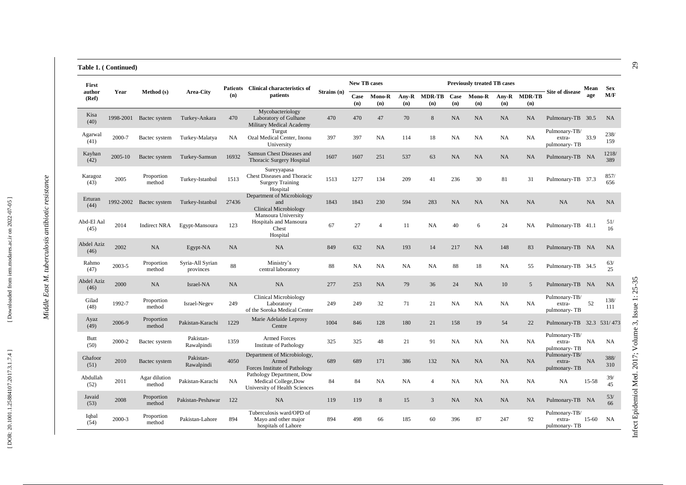### **Table 1. ( Continued)**

| First                     | Year<br>Method (s)<br>author |                         |                               |           | Patients Clinical characteristics of                                               |             | <b>New TB cases</b> |                |              |                |             | <b>Previously treated TB cases</b> |              |                      |                                         | Mean    | <b>Sex</b>   |
|---------------------------|------------------------------|-------------------------|-------------------------------|-----------|------------------------------------------------------------------------------------|-------------|---------------------|----------------|--------------|----------------|-------------|------------------------------------|--------------|----------------------|-----------------------------------------|---------|--------------|
| (Ref)                     |                              |                         | Area-City                     | (n)       | patients                                                                           | Strains (n) | Case<br>(n)         | Mono-R<br>(n)  | Any-R<br>(n) | MDR-TB<br>(n)  | Case<br>(n) | <b>Mono-R</b><br>(n)               | Any-R<br>(n) | <b>MDR-TB</b><br>(n) | Site of disease                         | age     | M/F          |
| Kisa<br>(40)              | 1998-2001                    | Bactec system           | Turkey-Ankara                 | 470       | Mycobacteriology<br>Laboratory of Gulhane<br>Military Medical Academy              | 470         | 470                 | 47             | 70           | 8              | NA          | NA                                 | NA           | NA                   | Pulmonary-TB 30.5                       |         | NA           |
| Agarwal<br>(41)           | 2000-7                       | Bactec system           | Turkey-Malatya                | NA        | Turgut<br>Ozal Medical Center, Inonu<br>University                                 | 397         | 397                 | <b>NA</b>      | 114          | 18             | <b>NA</b>   | <b>NA</b>                          | NA           | <b>NA</b>            | Pulmonary-TB/<br>extra-<br>pulmonary-TB | 33.9    | 238/<br>159  |
| Kayhan<br>(42)            | 2005-10                      | Bactec system           | Turkey-Samsun                 | 16932     | Samsun Chest Diseases and<br>Thoracic Surgery Hospital                             | 1607        | 1607                | 251            | 537          | 63             | NA          | NA                                 | NA           | NA                   | Pulmonary-TB NA                         |         | 1218/<br>389 |
| Karagoz<br>(43)           | 2005                         | Proportion<br>method    | Turkey-Istanbul               | 1513      | Sureyyapasa<br>Chest Diseases and Thoracic<br><b>Surgery Training</b><br>Hospital  | 1513        | 1277                | 134            | 209          | 41             | 236         | 30                                 | 81           | 31                   | Pulmonary-TB 37.3                       |         | 857/<br>656  |
| Erturan<br>(44)           | 1992-2002                    | Bactec system           | Turkey-Istanbul               | 27436     | Department of Microbiology<br>and<br><b>Clinical Microbiology</b>                  | 1843        | 1843                | 230            | 594          | 283            | <b>NA</b>   | NA                                 | NA           | <b>NA</b>            | <b>NA</b>                               | NA      | NA           |
| Abd-El Aal<br>(45)        | 2014                         | <b>Indirect NRA</b>     | Egypt-Mansoura                | 123       | Mansoura University<br>Hospitals and Mansoura<br>Chest<br>Hospital                 | 67          | 27                  | $\overline{4}$ | 11           | NA             | 40          | 6                                  | 24           | NA                   | Pulmonary-TB 41.1                       |         | 51/<br>16    |
| <b>Abdel Aziz</b><br>(46) | 2002                         | NA                      | Egypt-NA                      | <b>NA</b> | NA                                                                                 | 849         | 632                 | NA             | 193          | 14             | 217         | NA                                 | 148          | 83                   | Pulmonary-TB NA                         |         | NA.          |
| Rahmo<br>(47)             | 2003-5                       | Proportion<br>method    | Syria-All Syrian<br>provinces | 88        | Ministry's<br>central laboratory                                                   | 88          | NA                  | <b>NA</b>      | NA           | <b>NA</b>      | 88          | 18                                 | NA           | 55                   | Pulmonary-TB 34.5                       |         | 63/<br>25    |
| <b>Abdel Aziz</b><br>(46) | 2000                         | <b>NA</b>               | Israel-NA                     | <b>NA</b> | NA                                                                                 | 277         | 253                 | <b>NA</b>      | 79           | 36             | 24          | NA                                 | 10           | 5                    | Pulmonary-TB NA                         |         | NA.          |
| Gilad<br>(48)             | 1992-7                       | Proportion<br>method    | Israel-Negev                  | 249       | <b>Clinical Microbiology</b><br>Laboratory<br>of the Soroka Medical Center         | 249         | 249                 | 32             | 71           | 21             | NA          | NA                                 | NA           | <b>NA</b>            | Pulmonary-TB/<br>extra-<br>pulmonary-TB | 52      | 138/<br>111  |
| Ayaz<br>(49)              | 2006-9                       | Proportion<br>method    | Pakistan-Karachi              | 1229      | Marie Adelaide Leprosy<br>Centre                                                   | 1004        | 846                 | 128            | 180          | 21             | 158         | 19                                 | 54           | 22                   | Pulmonary-TB 32.3 531/473               |         |              |
| <b>Butt</b><br>(50)       | 2000-2                       | Bactec system           | Pakistan-<br>Rawalpindi       | 1359      | Armed Forces<br><b>Institute of Pathology</b>                                      | 325         | 325                 | 48             | 21           | 91             | NA          | <b>NA</b>                          | NA           | NA                   | Pulmonary-TB/<br>extra-<br>pulmonary-TB | NA      | NA           |
| Ghafoor<br>(51)           | 2010                         | Bactec system           | Pakistan-<br>Rawalpindi       | 4050      | Department of Microbiology,<br>Armed<br>Forces Institute of Pathology              | 689         | 689                 | 171            | 386          | 132            | NA          | NA                                 | NA           | <b>NA</b>            | Pulmonary-TB/<br>extra-<br>pulmonary-TB | NA      | 388/<br>310  |
| Abdullah<br>(52)          | 2011                         | Agar dilution<br>method | Pakistan-Karachi              | <b>NA</b> | Pathology Department, Dow<br>Medical College, Dow<br>University of Health Sciences | 84          | 84                  | <b>NA</b>      | NA           | $\overline{4}$ | NA          | NA                                 | NA           | <b>NA</b>            | <b>NA</b>                               | 15-58   | 39/<br>45    |
| Javaid<br>(53)            | 2008                         | Proportion<br>method    | Pakistan-Peshawar             | 122       | NA                                                                                 | 119         | 119                 | 8              | 15           | 3              | NA          | NA                                 | NA           | <b>NA</b>            | Pulmonary-TB NA                         |         | 53/<br>66    |
| Iqbal<br>(54)             | 2000-3                       | Proportion<br>method    | Pakistan-Lahore               | 894       | Tuberculosis ward/OPD of<br>Mayo and other major<br>hospitals of Lahore            | 894         | 498                 | 66             | 185          | 60             | 396         | 87                                 | 247          | 92                   | Pulmonary-TB/<br>extra-<br>pulmonary-TB | $15-60$ | <b>NA</b>    |

*Middle East M. tuberculosis antibiotic resistance*

Middle East M. tuberculosis antibiotic resistance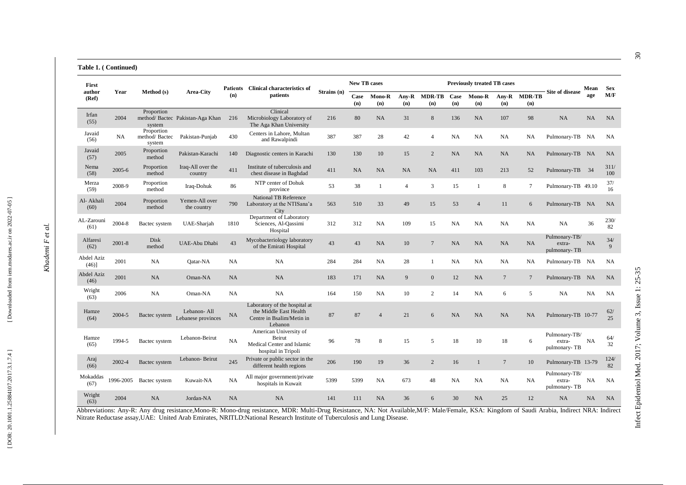#### **Table 1. ( Continued)**

| First<br>author<br>Year       |            |                                       |                                   | <b>Patients</b> | <b>Clinical characteristics of</b>                                                              |             | <b>New TB cases</b> |                |                |                      |             | <b>Previously treated TB cases</b> |                                 |                      |                                         | Mean      | <b>Sex</b>  |
|-------------------------------|------------|---------------------------------------|-----------------------------------|-----------------|-------------------------------------------------------------------------------------------------|-------------|---------------------|----------------|----------------|----------------------|-------------|------------------------------------|---------------------------------|----------------------|-----------------------------------------|-----------|-------------|
| (Ref)                         |            | Method (s)                            | <b>Area-City</b>                  | (n)             | patients                                                                                        | Strains (n) | Case<br>(n)         | Mono-R<br>(n)  | Any-R<br>(n)   | <b>MDR-TB</b><br>(n) | Case<br>(n) | Mono-R<br>(n)                      | $\bf{Any}\text{-}\bf{R}$<br>(n) | <b>MDR-TB</b><br>(n) | <b>Site of disease</b>                  | age       | M/F         |
| Irfan<br>(55)                 | 2004       | Proportion<br>system                  | method/Bactec Pakistan-Aga Khan   | 216             | Clinical<br>Microbiology Laboratory of<br>The Aga Khan University                               | 216         | 80                  | NA             | 31             | $\,8\,$              | 136         | NA                                 | 107                             | 98                   | NA                                      | NA        | NA          |
| Javaid<br>(56)                | NA         | Proportion<br>method/Bactec<br>system | Pakistan-Punjab                   | 430             | Centers in Lahore, Multan<br>and Rawalpindi                                                     | 387         | 387                 | 28             | 42             | $\overline{4}$       | NA          | NA                                 | <b>NA</b>                       | NA                   | Pulmonary-TB NA                         |           | NA          |
| Javaid<br>(57)                | 2005       | Proportion<br>method                  | Pakistan-Karachi                  | 140             | Diagnostic centers in Karachi                                                                   | 130         | 130                 | $10\,$         | 15             | $\sqrt{2}$           | NA          | NA                                 | NA                              | <b>NA</b>            | Pulmonary-TB NA                         |           | <b>NA</b>   |
| Nema<br>(58)                  | $2005 - 6$ | Proportion<br>method                  | Iraq-All over the<br>country      | 411             | Institute of tuberculosis and<br>chest disease in Baghdad                                       | 411         | <b>NA</b>           | NA             | <b>NA</b>      | NA                   | 411         | 103                                | 213                             | 52                   | Pulmonary-TB 34                         |           | 311/<br>100 |
| Merza<br>(59)                 | 2008-9     | Proportion<br>method                  | Iraq-Dohuk                        | 86              | NTP center of Dohuk<br>province                                                                 | 53          | 38                  | $\mathbf{1}$   | $\overline{4}$ | 3                    | 15          | $\mathbf{1}$                       | 8                               | $7\phantom{.0}$      | Pulmonary-TB 49.10                      |           | 37/<br>16   |
| Al- Akhali<br>(60)            | 2004       | Proportion<br>method                  | Yemen-All over<br>the country     | 790             | <b>National TB Reference</b><br>Laboratory at the NTISana'a<br>City                             | 563         | 510                 | 33             | 49             | 15                   | 53          | $\overline{4}$                     | 11                              | 6                    | Pulmonary-TB NA                         |           | <b>NA</b>   |
| AL-Zarouni<br>(61)            | 2004-8     | Bactec system                         | UAE-Sharjah                       | 1810            | Department of Laboratory<br>Sciences, Al-Oassimi<br>Hospital                                    | 312         | 312                 | NA             | 109            | 15                   | NA          | NA                                 | <b>NA</b>                       | <b>NA</b>            | NA                                      | 36        | 230/<br>82  |
| Alfaresi<br>(62)              | $2001 - 8$ | Disk<br>method                        | UAE-Abu Dhabi                     | 43              | Mycobacteriology laboratory<br>of the Emirati Hospital                                          | 43          | 43                  | NA             | 10             | $\overline{7}$       | NA          | NA                                 | NA                              | NA                   | Pulmonary-TB/<br>extra-<br>pulmonary-TB | NA        | 34/<br>9    |
| <b>Abdel Aziz</b><br>$(46)$ ] | 2001       | NA                                    | Oatar-NA                          | NA              | NA                                                                                              | 284         | 284                 | NA             | 28             | $\mathbf{1}$         | <b>NA</b>   | NA                                 | <b>NA</b>                       | <b>NA</b>            | Pulmonary-TB NA                         |           | <b>NA</b>   |
| Abdel Aziz<br>(46)            | 2001       | NA                                    | Oman-NA                           | NA              | NA                                                                                              | 183         | 171                 | NA             | 9              | $\mathbf{0}$         | 12          | NA                                 | $\overline{7}$                  | $7\phantom{.0}$      | Pulmonary-TB                            | - NA      | <b>NA</b>   |
| Wright<br>(63)                | 2006       | NA                                    | Oman-NA                           | NA              | <b>NA</b>                                                                                       | 164         | 150                 | NA             | 10             | $\overline{c}$       | 14          | NA                                 | 6                               | 5                    | NA                                      | <b>NA</b> | <b>NA</b>   |
| Hamze<br>(64)                 | 2004-5     | Bactec system                         | Lebanon-All<br>Lebanese provinces | NA              | Laboratory of the hospital at<br>the Middle East Health<br>Centre in Bsalim/Metin in<br>Lebanon | 87          | 87                  | $\overline{4}$ | 21             | 6                    | NA          | NA                                 | NA                              | NA                   | Pulmonary-TB 10-77                      |           | 62/<br>25   |
| Hamze<br>(65)                 | 1994-5     | Bactec system                         | Lebanon-Beirut                    | NA              | American University of<br>Beirut<br>Medical Center and Islamic<br>hospital in Tripoli           | 96          | 78                  | 8              | 15             | 5                    | 18          | 10                                 | 18                              | 6                    | Pulmonary-TB/<br>extra-<br>pulmonary-TB | <b>NA</b> | 64/<br>32   |
| Araj<br>(66)                  | 2002-4     | Bactec system                         | Lebanon-Beirut                    | 245             | Private or public sector in the<br>different health regions                                     | 206         | 190                 | 19             | 36             | $\overline{c}$       | 16          | $\mathbf{1}$                       | $\overline{7}$                  | 10                   | Pulmonary-TB 13-79                      |           | 124/<br>82  |
| Mokaddas<br>(67)              | 1996-2005  | Bactec system                         | Kuwait-NA                         | NA              | All major government/private<br>hospitals in Kuwait                                             | 5399        | 5399                | NA             | 673            | 48                   | NA          | NA                                 | NA                              | <b>NA</b>            | Pulmonary-TB/<br>extra-<br>pulmonary-TB | NA        | <b>NA</b>   |
| Wright<br>(63)                | 2004       | NA                                    | Jordan-NA                         | <b>NA</b>       | NA                                                                                              | 141         | 111                 | NA             | 36             | 6                    | 30          | NA                                 | 25                              | 12                   | <b>NA</b>                               | <b>NA</b> | <b>NA</b>   |

Abbreviations: Any-R: Any drug resistance,Mono-R: Mono-drug resistance, MDR: Multi-Drug Resistance, NA: Not Available,M/F: Male/Female, KSA: Kingdom of Saudi Arabia, Indirect NRA: Indirect Nitrate Reductase assay,UAE: United Arab Emirates, NRITLD:National Research Institute of Tuberculosis and Lung Disease.

*Khademi F et al.*

Khademi F et al.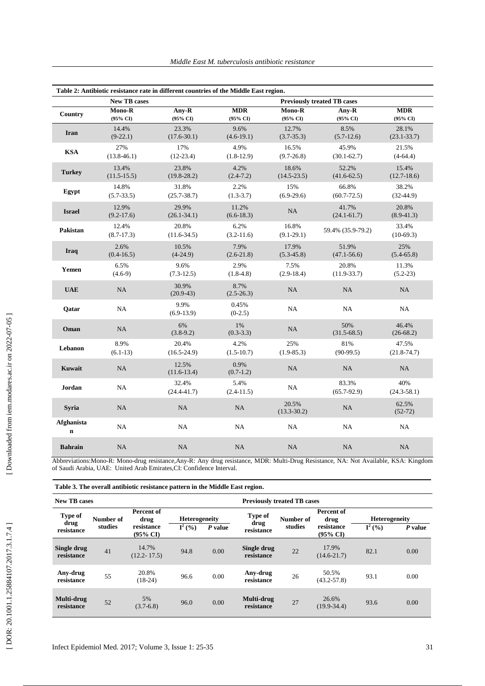|                                  | <b>New TB cases</b>      |                          |                        |                               | <b>Previously treated TB cases</b> |                          |
|----------------------------------|--------------------------|--------------------------|------------------------|-------------------------------|------------------------------------|--------------------------|
| Country                          | Mono-R<br>(95% CI)       | Any-R<br>(95% CI)        | <b>MDR</b><br>(95% CI) | Mono-R<br>$(95\% \text{ CI})$ | Any-R<br>(95% CI)                  | <b>MDR</b><br>(95% CI)   |
| Iran                             | 14.4%<br>$(9-22.1)$      | 23.3%<br>$(17.6 - 30.1)$ | 9.6%<br>$(4.6-19.1)$   | 12.7%<br>$(3.7 - 35.3)$       | 8.5%<br>$(5.7-12.6)$               | 28.1%<br>$(23.1 - 33.7)$ |
| <b>KSA</b>                       | 27%<br>$(13.8 - 46.1)$   | 17%<br>$(12-23.4)$       | 4.9%<br>$(1.8-12.9)$   | 16.5%<br>$(9.7 - 26.8)$       | 45.9%<br>$(30.1 - 62.7)$           | 21.5%<br>$(4-64.4)$      |
| <b>Turkey</b>                    | 13.4%<br>$(11.5 - 15.5)$ | 23.8%<br>$(19.8 - 28.2)$ | 4.2%<br>$(2.4-7.2)$    | 18.6%<br>$(14.5 - 23.5)$      | 52.2%<br>$(41.6 - 62.5)$           | 15.4%<br>$(12.7-18.6)$   |
| Egypt                            | 14.8%<br>$(5.7 - 33.5)$  | 31.8%<br>$(25.7 - 38.7)$ | 2.2%<br>$(1.3-3.7)$    | 15%<br>$(6.9-29.6)$           | 66.8%<br>$(60.7 - 72.5)$           | 38.2%<br>$(32-44.9)$     |
| <b>Israel</b>                    | 12.9%<br>$(9.2 - 17.6)$  | 29.9%<br>$(26.1 - 34.1)$ | 11.2%<br>$(6.6-18.3)$  | NA                            | 41.7%<br>$(24.1 - 61.7)$           | 20.8%<br>$(8.9-41.3)$    |
| Pakistan                         | 12.4%<br>$(8.7-17.3)$    | 20.8%<br>$(11.6 - 34.5)$ | 6.2%<br>$(3.2-11.6)$   | 16.8%<br>$(9.1 - 29.1)$       | 59.4% (35.9-79.2)                  | 33.4%<br>$(10-69.3)$     |
| Iraq                             | 2.6%<br>$(0.4 - 16.5)$   | 10.5%<br>$(4-24.9)$      | 7.9%<br>$(2.6-21.8)$   | 17.9%<br>$(5.3-45.8)$         | 51.9%<br>$(47.1 - 56.6)$           | 25%<br>$(5.4 - 65.8)$    |
| Yemen                            | 6.5%<br>$(4.6-9)$        | 9.6%<br>$(7.3-12.5)$     | 2.9%<br>$(1.8-4.8)$    | 7.5%<br>$(2.9-18.4)$          | 20.8%<br>$(11.9-33.7)$             | 11.3%<br>$(5.2-23)$      |
| <b>UAE</b>                       | <b>NA</b>                | 30.9%<br>$(20.9-43)$     | 8.7%<br>$(2.5 - 26.3)$ | NA                            | <b>NA</b>                          | NA                       |
| Oatar                            | NA                       | 9.9%<br>$(6.9-13.9)$     | 0.45%<br>$(0-2.5)$     | NA                            | <b>NA</b>                          | NA                       |
| Oman                             | NA                       | 6%<br>$(3.8-9.2)$        | 1%<br>$(0.3-3.3)$      | NA                            | 50%<br>$(31.5 - 68.5)$             | 46.4%<br>$(26-68.2)$     |
| Lebanon                          | 8.9%<br>$(6.1-13)$       | 20.4%<br>$(16.5-24.9)$   | 4.2%<br>$(1.5-10.7)$   | 25%<br>$(1.9 - 85.3)$         | 81%<br>$(90-99.5)$                 | 47.5%<br>$(21.8 - 74.7)$ |
| Kuwait                           | <b>NA</b>                | 12.5%<br>$(11.6-13.4)$   | 0.9%<br>$(0.7-1.2)$    | NA                            | NA                                 | NA                       |
| Jordan                           | NA                       | 32.4%<br>$(24.4 - 41.7)$ | 5.4%<br>$(2.4-11.5)$   | NA                            | 83.3%<br>$(65.7-92.9)$             | 40%<br>$(24.3 - 58.1)$   |
| <b>Syria</b>                     | NA                       | NA                       | NA                     | 20.5%<br>$(13.3 - 30.2)$      | NA                                 | 62.5%<br>$(52-72)$       |
| <b>Afghanista</b><br>$\mathbf n$ | <b>NA</b>                | NA                       | NA                     | NA                            | <b>NA</b>                          | NA                       |
| <b>Bahrain</b>                   | NA                       | NA                       | NA                     | NA                            | NA                                 | NA                       |

Abbreviations:Mono -R: Mono -drug resistance,Any -R: Any drug resistance, MDR: Multi -Drug Resistance, NA: Not Available, KSA: Kingdom of Saudi Arabia, UAE: United Arab Emirates,CI: Confidence Interval .

| Table 3. The overall antibiotic resistance pattern in the Middle East region. |  |  |  |
|-------------------------------------------------------------------------------|--|--|--|
|-------------------------------------------------------------------------------|--|--|--|

| <b>New TB cases</b>       |           |                                   | <b>Previously treated TB cases</b> |           |                           |           |                                   |                      |         |  |  |  |  |
|---------------------------|-----------|-----------------------------------|------------------------------------|-----------|---------------------------|-----------|-----------------------------------|----------------------|---------|--|--|--|--|
| Type of                   | Number of | Percent of<br>drug                | <b>Heterogeneity</b>               |           | <b>Type of</b><br>drug    | Number of | Percent of<br>drug                | <b>Heterogeneity</b> |         |  |  |  |  |
| drug<br>resistance        | studies   | resistance<br>$(95\% \text{ CI})$ | $I^2(%)$                           | $P$ value | resistance                | studies   | resistance<br>$(95\% \text{ CI})$ | $\mathbf{I}^2$ (%)   | P value |  |  |  |  |
| Single drug<br>resistance | 41        | 14.7%<br>$(12.2 - 17.5)$          | 94.8                               | 0.00      | Single drug<br>resistance | 22        | 17.9%<br>$(14.6 - 21.7)$          | 82.1                 | 0.00    |  |  |  |  |
| Any-drug<br>resistance    | 55        | 20.8%<br>$(18-24)$                | 96.6                               | 0.00      | Any-drug<br>resistance    | 26        | 50.5%<br>$(43.2 - 57.8)$          | 93.1                 | 0.00    |  |  |  |  |
| Multi-drug<br>resistance  | 52        | 5%<br>$(3.7-6.8)$                 | 96.0                               | 0.00      | Multi-drug<br>resistance  | 27        | 26.6%<br>$(19.9 - 34.4)$          | 93.6                 | 0.00    |  |  |  |  |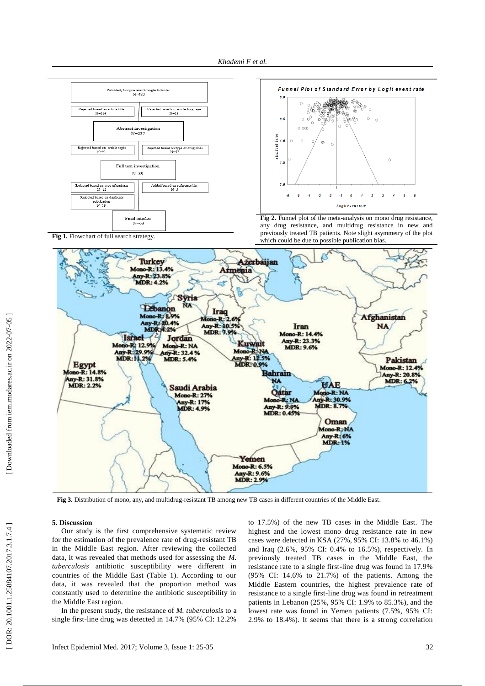



**Fig 2.** Funnel plot of the meta -analysis on mono drug resistance, any drug resistance, and multidrug resistance in new and previously treated TB patients. Note slight asymmetry of the plot which could be due to possible publication bias .





#### Fig 3. Distribution of mono, any, and multidrug-resistant TB among new TB cases in different countries of the Middle East.

# **5. Discussion**

Our study is the first comprehensive systematic review for the estimation of the prevalence rate of drug-resistant TB in the Middle East region. After reviewing the collected data, it was revealed that methods used for assessing the *M. tuberculosis* antibiotic susceptibility were different in countries of the Middle East (Table 1). According to our data, it was revealed that the proportion method was constantly used to determine the antibiotic susceptibility in the Middle East region.

In the present study, the resistance of *M. tuberculosis* to a single first -line drug was detected in 14.7% (95% CI: 12.2% to 17.5%) of the new TB cases in the Middle East. The highest and the lowest mono drug resistance rate in new cases were detected in KSA (27%, 95% CI: 13.8% to 46.1%) and Iraq (2.6%, 95% CI: 0.4% to 16.5%), respectively. In previously treated TB cases in the Middle East, the resistance rate to a single first -line drug was found in 17.9% (95% CI: 14.6% to 21.7%) of the patients. Among the Middle Eastern countries, the highest prevalence rate of resistance to a single first -line drug was found in retreatment patients in Lebanon (25%, 95% CI: 1.9% to 85.3%), and the lowest rate was found in Yemen patients (7.5%, 95% CI: 2.9% to 18.4%). It seems that there is a strong correlation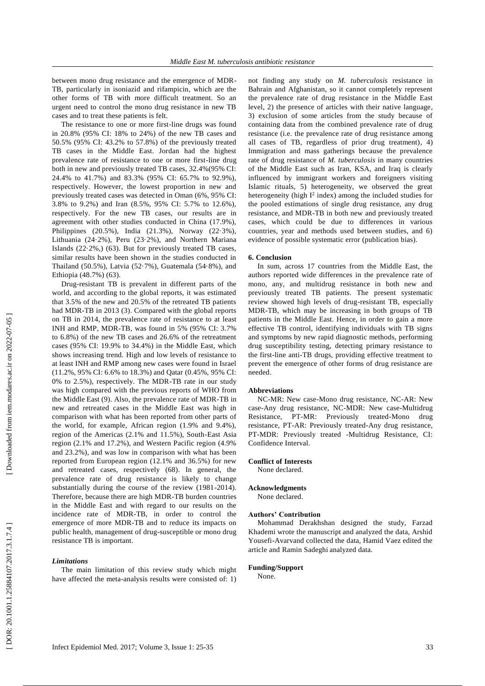between mono drug resistance and the emergence of MDR - TB, particularly in isoniazid and rifampicin, which are the other forms of TB with more difficult treatment. So an urgent need to control the mono drug resistance in new TB cases and to treat these patients is felt.

The resistance to one or more first -line drugs was found in 20.8% (95% CI: 18% to 24%) of the new TB cases and 50.5% (95% CI: 43.2% to 57.8%) of the previously treated TB cases in the Middle East. Jordan had the highest prevalence rate of resistance to one or more first -line drug both in new and previously treated TB cases, 32.4%(95% CI: 24.4% to 41.7%) and 83.3% (95% CI: 65.7% to 92.9%), respectively. However, the lowest proportion in new and previously treated cases was detected in Oman (6%, 95% CI: 3.8% to 9.2%) and Iran (8.5%, 95% CI: 5.7% to 12.6%), respectively. For the new TB cases, our results are in agreement with other studies conducted in China (17.9%), Philippines (20.5%), India (21.3%), Norway (22·3%), Lithuania (24·2%), Peru (23·2%), and Northern Mariana Islands (22·2%,) (63). But for previously treated TB cases, similar results have been shown in the studies conducted in Thailand (50.5%), Latvia (52·7%), Guatemala (54·8%), and Ethiopia (48.7%) (63).

Drug -resistant TB is prevalent in different parts of the world, and according to the global reports, it was estimated that 3.5% of the new and 20.5% of the retreated TB patients had MDR -TB in 2013 (3). Compared with the global reports on TB in 2014, the prevalence rate of resistance to at least INH and RMP, MDR -TB, was found in 5% (95% CI: 3.7% to 6.8%) of the new TB cases and 26.6% of the retreatment cases (95% CI: 19.9% to 34.4%) in the Middle East, which shows increasing trend. High and low levels of resistance to at least INH and RMP among new cases were found in Israel (11.2%, 95% CI: 6.6% to 18.3%) and Qatar (0.45%, 95% CI: 0% to 2.5%), respectively. The MDR -TB rate in our study was high compared with the previous reports of WHO from the Middle East (9). Also, the prevalence rate of MDR -TB in new and retreated cases in the Middle East was high in comparison with what has been reported from other parts of the world, for example, African region (1.9% and 9.4%), region of the Americas (2.1% and 11.5%), South -East Asia region (2.1% and 17.2%), and Western Pacific region (4.9% and 23.2%), and was low in comparison with what has been reported from European region (12.1% and 36.5%) for new and retreated cases, respectively (68). In general, the prevalence rate of drug resistance is likely to change substantially during the course of the review (1981 -2014). Therefore, because there are high MDR -TB burden countries in the Middle East and with regard to our results on the incidence rate of MDR -TB, in order to control the emergence of more MDR -TB and to reduce its impacts on public health, management of drug-susceptible or mono drug resistance TB is important.

#### *Limitations*

The main limitation of this review study which might have affected the meta -analysis results were consisted of: 1)

not finding any study on *M. tuberculosis* resistance in Bahrain and Afghanistan, so it cannot completely represent the prevalence rate of drug resistance in the Middle East level, 2) the presence of articles with their native language, 3) exclusion of some articles from the study because of containing data from the combined prevalence rate of drug resistance (i.e. the prevalence rate of drug resistance among all cases of TB, regardless of prior drug treatment), 4) Immigration and mass gatherings because the prevalence rate of drug resistance of *M. tuberculosis* in many countries of the Middle East such as Iran, KSA, and Iraq is clearly influenced by immigrant workers and foreigners visiting Islamic rituals, 5) heterogeneity, we observed the great heterogeneity (high I<sup>2</sup> index) among the included studies for the pooled estimations of single drug resistance, any drug resistance, and MDR -TB in both new and previously treated cases, which could be due to differences in various countries, year and methods used between studies, and 6) evidence of possible systematic error (publication bias).

#### **6. Conclusion**

In sum, across 17 countries from the Middle East, the authors reported wide differences in the prevalence rate of mono, any, and multidrug resistance in both new and previously treated TB patients. The present systematic review showed high levels of drug -resistant TB, especially MDR -TB, which may be increasing in both groups of TB patients in the Middle East. Hence, in order to gain a more effective TB control, identifying individuals with TB signs and symptoms by new rapid diagnostic methods, performing drug susceptibility testing, detecting primary resistance to the first -line anti -TB drugs, providing effective treatment to prevent the emergence of other forms of drug resistance are needed.

#### **Abbreviations**

NC -MR: New case -Mono drug resistance, NC -AR: New case -Any drug resistance, NC -MDR: New case -Multidrug Resistance, PT Previously treated-Mono drug resistance, PT -AR: Previously treated -Any drug resistance, PT -MDR: Previously treated -Multidrug Resistance, CI: Confidence Interval.

#### **Conflict of Interests**

None declared .

# **Acknowledgments**

None declared .

# **Authors' Contribution**

Mohammad Derakhshan designed the study, Farzad Khademi wrote the manuscript and analyzed the data, Arshid Yousefi -Avarvand collected the data, Hamid Vaez edited the article and Ramin Sadeghi analyzed data.

# **Funding/Support**

None .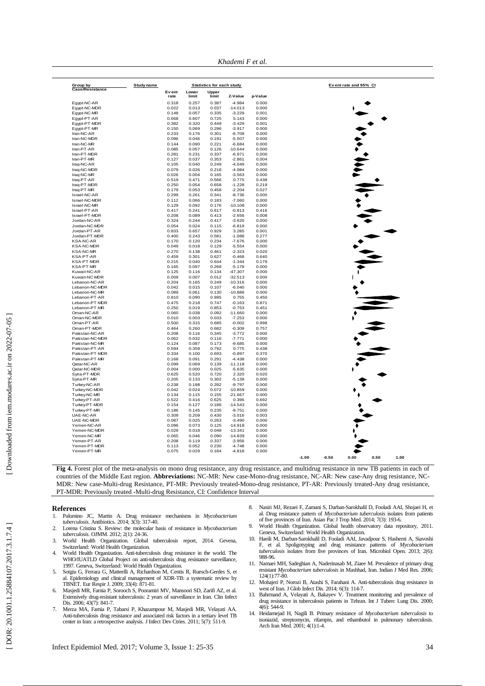*Khademi F et al.*

|                                      |            |                |                |                                           | Khademi F et al.       |                |                                            |
|--------------------------------------|------------|----------------|----------------|-------------------------------------------|------------------------|----------------|--------------------------------------------|
|                                      |            |                |                |                                           |                        |                |                                            |
| Group by<br>Case/Resistance          | Study name | Event          | Lower          | <b>Statistics for each study</b><br>Upper |                        |                | Event rate and 95% CI                      |
|                                      |            | rate           | limit          | limit                                     | Z-Value                | p-Value        |                                            |
| Egypt-NC-AR                          |            | 0.318          | 0.257          | 0.387                                     | $-4.984$               | 0.000          |                                            |
| Egypt-NC-MDR                         |            | 0.022          | 0.013          | 0.037                                     | $-14.013$              | 0.000          |                                            |
| Egypt-NC-MR                          |            | 0.148          | 0.057          | 0.335                                     | $-3.229$               | 0.001<br>0.000 |                                            |
| Egypt-PT-AR<br>Egypt-PT-MDR          |            | 0.668<br>0.382 | 0.607<br>0.320 | 0.725<br>0.449                            | 5.143<br>$-3.429$      | 0.001          |                                            |
| Egypt-PT-MR                          |            | 0.150          | 0.069          | 0.296                                     | $-3.917$               | 0.000          |                                            |
| Iran-NC-AR                           |            | 0.233          | 0.176          | 0.301                                     | $-6.709$               | 0.000          |                                            |
| Iran-NC-MDR                          |            | 0.096          | 0.046          | 0.191                                     | $-5.507$               | 0.000          |                                            |
| Iran-NC-MR                           |            | 0.144          | 0.090          | 0.221                                     | $-6.684$               | 0.000          |                                            |
| Iran-PT-AR<br>Iran-PT-MDR            |            | 0.085<br>0.281 | 0.057<br>0.231 | 0.126<br>0.337                            | $-10.644$<br>$-6.971$  | 0.000<br>0.000 |                                            |
| Iran-PT-MR                           |            | 0.127          | 0.037          | 0.353                                     | $-2.861$               | 0.004          |                                            |
| Iraq-NC-AR                           |            | 0.105          | 0.040          | 0.249                                     | $-4.049$               | 0.000          |                                            |
| Iraq-NC-MDR                          |            | 0.079          | 0.026          | 0.218                                     | $-4.084$               | 0.000          |                                            |
| Iraq-NC-MR                           |            | 0.026          | 0.004          | 0.165                                     | $-3.563$               | 0.000          |                                            |
| Iraq-PT-AR<br>Iraq-PT-MDR            |            | 0.519<br>0.250 | 0.471<br>0.054 | 0.566<br>0.658                            | 0.775<br>$-1.228$      | 0.438<br>0.219 |                                            |
| Iraq-PT-MR                           |            | 0.179          | 0.053          | 0.458                                     | $-2.204$               | 0.027          |                                            |
| Israel-NC-AR                         |            | 0.299          | 0.261          | 0.341                                     | $-8.736$               | 0.000          |                                            |
| Israel-NC-MDR                        |            | 0.112          | 0.066          | 0.183                                     | $-7.060$               | 0.000          |                                            |
| Israel-NC-MR                         |            | 0.129          | 0.092          | 0.176                                     | $-10.108$              | 0.000          |                                            |
| Israel-PT-AR                         |            | 0.417          | 0.241          | 0.617                                     | $-0.813$               | 0.416          |                                            |
| Israel-PT-MDR                        |            | 0.208          | 0.089          | 0.413                                     | $-2.656$               | 0.008          |                                            |
| Jordan-NC-AR<br>Jordan-NC-MDR        |            | 0.324<br>0.054 | 0.244<br>0.024 | 0.417<br>0.115                            | $-3.620$<br>$-6.819$   | 0.000<br>0.000 |                                            |
| Jordan-PT-AR                         |            | 0.833          | 0.657          | 0.929                                     | 3.285                  | 0.001          |                                            |
| Jordan-PT-MDR                        |            | 0.400          | 0.243          | 0.581                                     | $-1.088$               | 0.277          |                                            |
| <b>KSA-NC-AR</b>                     |            | 0.170          | 0.120          | 0.234                                     | $-7.676$               | 0.000          |                                            |
| <b>KSA-NC-MDR</b>                    |            | 0.049          | 0.018          | 0.129                                     | $-5.554$               | 0.000          |                                            |
| <b>KSA-NC-MR</b><br><b>KSA-PT-AR</b> |            | 0.270<br>0.459 | 0.138<br>0.301 | 0.461<br>0.627                            | $-2.323$<br>$-0.468$   | 0.020<br>0.640 |                                            |
| <b>KSA-PT-MDR</b>                    |            | 0.215          | 0.040          | 0.644                                     | $-1.344$               | 0.179          |                                            |
| KSA-PT-MR                            |            | 0.165          | 0.097          | 0.268                                     | $-5.178$               | 0.000          |                                            |
| Kuwait-NC-AR                         |            | 0.125          | 0.116          | 0.134                                     | -47.307                | 0.000          |                                            |
| Kuwait-NC-MDR                        |            | 0.009          | 0.007          | 0.012                                     | $-32.513$              | 0.000          |                                            |
| Lebanon-NC-AR                        |            | 0.204          | 0.165          | 0.249                                     | $-10.316$              | 0.000          |                                            |
| Lebanon-NC-MDR<br>Lebanon-NC-MR      |            | 0.042<br>0.089 | 0.015<br>0.061 | 0.107<br>0.130                            | $-6.040$<br>$-10.886$  | 0.000<br>0.000 |                                            |
| Lebanon-PT-AR                        |            | 0.810          | 0.090          | 0.995                                     | 0.755                  | 0.450          |                                            |
| Lebanon-PT-MDR                       |            | 0.475          | 0.218          | 0.747                                     | $-0.163$               | 0.871          |                                            |
| Lebanon-PT-MR                        |            | 0.250          | 0.019          | 0.853                                     | $-0.753$               | 0.451          |                                            |
| Oman-NC-AR                           |            | 0.060          | 0.038          | 0.092                                     | $-11.660$              | 0.000          |                                            |
| Oman-NC-MDR                          |            | 0.010          | 0.003          | 0.033                                     | $-7.253$               | 0.000          |                                            |
| Oman-PT-AR<br>Oman-PT-MDR            |            | 0.500<br>0.464 | 0.315<br>0.260 | 0.685<br>0.682                            | $-0.002$<br>$-0.309$   | 0.998<br>0.757 |                                            |
| Pakistan-NC-AR                       |            | 0.208          | 0.116          | 0.345                                     | $-3.772$               | 0.000          |                                            |
| Pakistan-NC-MDR                      |            | 0.062          | 0.032          | 0.116                                     | $-7.771$               | 0.000          |                                            |
| Pakistan-NC-MR                       |            | 0.124          | 0.087          | 0.173                                     | $-9.685$               | 0.000          |                                            |
| Pakistan-PT-AR                       |            | 0.594          | 0.359          | 0.792                                     | 0.775                  | 0.438          |                                            |
| Pakistan-PT-MDR<br>Pakistan-PT-MR    |            | 0.334<br>0.168 | 0.100<br>0.091 | 0.693<br>0.291                            | $-0.897$<br>$-4.438$   | 0.370<br>0.000 |                                            |
| Oatar-NC-AR                          |            | 0.099          | 0.069          | 0.139                                     | $-11.118$              | 0.000          |                                            |
| Qatar-NC-MDR                         |            | 0.004          | 0.000          | 0.025                                     | $-5.635$               | 0.000          |                                            |
| Syria-PT-MDR                         |            | 0.625          | 0.520          | 0.720                                     | 2.320                  | 0.020          |                                            |
| Syria-PT-MR                          |            | 0.205          | 0.133          | 0.302                                     | $-5.139$               | 0.000          |                                            |
| Turkey-NC-AR                         |            | 0.238          | 0.198<br>0.024 | 0.282                                     | $-9.797$               | 0.000<br>0.000 |                                            |
| Turkey-NC-MDR<br>Turkey-NC-MR        |            | 0.042<br>0.134 | 0.115          | 0.072<br>0.155                            | $-10.859$<br>$-21.667$ | 0.000          |                                            |
| Turkey-PT-AR                         |            | 0.522          | 0.416          | 0.625                                     | 0.396                  | 0.692          |                                            |
| Turkey-PT-MDR                        |            | 0.154          | 0.127          | 0.186                                     | $-14.543$              | 0.000          |                                            |
| Turkey-PT-MR                         |            | 0.186          | 0.145          | 0.235                                     | $-9.751$               | 0.000          |                                            |
| UAE-NC-AR                            |            | 0.309          | 0.209          | 0.430                                     | $-3.016$               | 0.003          |                                            |
| UAE-NC-MDR                           |            | 0.087          | 0.025          | 0.263                                     | $-3.490$               | 0.000          |                                            |
| Yemen-NC-AR<br>Yemen-NC-MDR          |            | 0.096<br>0.029 | 0.073<br>0.018 | 0.125<br>0.048                            | $-14.918$<br>$-13.341$ | 0.000<br>0.000 |                                            |
| Yemen-NC-MR                          |            | 0.065          | 0.046          | 0.090                                     | $-14.839$              | 0.000          |                                            |
| Yemen-PT-AR                          |            | 0.208          | 0.119          | 0.337                                     | $-3.956$               | 0.000          |                                            |
| Yemen-PT-MDR                         |            | 0.113          | 0.052          | 0.230                                     | $-4.748$               | 0.000          |                                            |
| Yemen-PT-MR                          |            | 0.075          | 0.029          | 0.184                                     | $-4.818$               | 0.000          |                                            |
|                                      |            |                |                |                                           |                        |                | $-1.00$<br>$-0.50$<br>0.00<br>0.50<br>1.00 |

Fig 4. Forest plot of the meta-analysis on mono drug resistance, any drug resistance, and multidrug resistance in new TB patients in each of countries of the Middle East region. Abbreviations: NC-MR: New case-Mono-drug resistance, NC-AR: New case-Any drug resistance, NC-MDR: New case -Multi -drug Resistance, PT -MR: Previously treated -Mono -drug resistance, PT -AR: Previously treated -Any drug resistance, PT -MDR: Previously treated -Multi -drug Resistance, CI: Confidence Interval

# **References**

- 1. Palomino JC, Martin A. Drug resistance mechanisms in *Mycobacterium tuberculosis*. Antibiotics . 2014; 3(3) : 317 -40.
- 2. Lorena Cristina S. Review: the molecular basis of resistance in *Mycobacterium*<br> *tuberculosis*. OJMM. 2012; 2(1): 24-36.<br>
3. World Health Organization. Global tuberculosis report, 2014. Gevena,
- Switzerland: World Health Organization .
- 4. World Health Organization. Anti -tuberculosis drug resistance in the world. The WHO/IUATLD Global Project on anti -tuberculosis drug resistance surveillance, 1997. Geneva , Switzerland: World Health Organization . 5. Sotgiu G, Ferrara G, Matteelli A, Richardson M, Centis R, Ruesch -Gerdes S, et
- al. Epidemiology and clinical management of XDR -TB: a systematic review by TBNET. Eur Respir J . 2009; 33(4) : 871 -81. 6. Masjedi MR, Farnia P, Sorooch S, Pooramiri MV, Mansoori SD, Zarifi AZ, et al.
- Extensively drug-resistant tuberculosis: 2 years of surveillance in Iran. Clin Infect Dis. 2006; 43(7): 841-7.
- 7. Merza MA, Farnia P, Tabarsi P, Khazampour M, Masjedi MR, Velayati AA. Anti -tuberculosis drug resistance and associated risk factors in a tertiary level TB center in Iran: a retrospective analysis. J Infect Dev Ctries . 2011; 5(7) : 511 -9.
- 8. Nasiri MJ, Rezaei F, Zamani S, Darban -Sarokhalil D, Fooladi AAI, Shojaei H, et al. Drug resistance pattern of *Mycobacterium tuberculosis* isolates from patients of five provinces of Iran. Asian Pac J Trop Med. 2014; 7(3): 193-6.<br>9. World Health Organization. Global health observatory data repository
- Geneva, Switzerland: World Health Organization .
- 10. Haeili M, Darban-Sarokhalil D, Fooladi AAI, Javadpour S, Hashemi A, Siavoshi F, et al. Spoligotyping and drug resistance patterns of *Mycobacterium tuberculosis* isolates from five provinces of Iran. Microbiol Open. 20 988 -96.
- 11. Namaei MH, Sadeghian A, Naderinasab M, Ziaee M. Prevalence of primary drug resistant *Mycobacterium tuberculosis* in Mashhad, Iran. Indian J Med Res . 2006; 124(1):77 -80.
- 12. Mohajeri P, Norozi B, Atashi S, Farahani A. Anti -tuberculosis drug resistance in
- west of Iran. J Glob Infect Dis. 2014; 6(3): 114-7.<br>
13. Bahrmand A, Velayati A, Bakayev V. Treatment monitoring and prevalence of drug resistance in tuberculosis patients in Tehran. Int J Tuberc Lung Dis. 2000; 4(6): 544 -9.
- 14. Heidarnejad H, Nagili B. Primary resistance of *Mycobacterium tuberculosis* to isoniazid, streptomycin, rifampin, and ethambutol in pulmonary tuberculosis. Arch Iran Med . 2001; 4(1):1 -4.